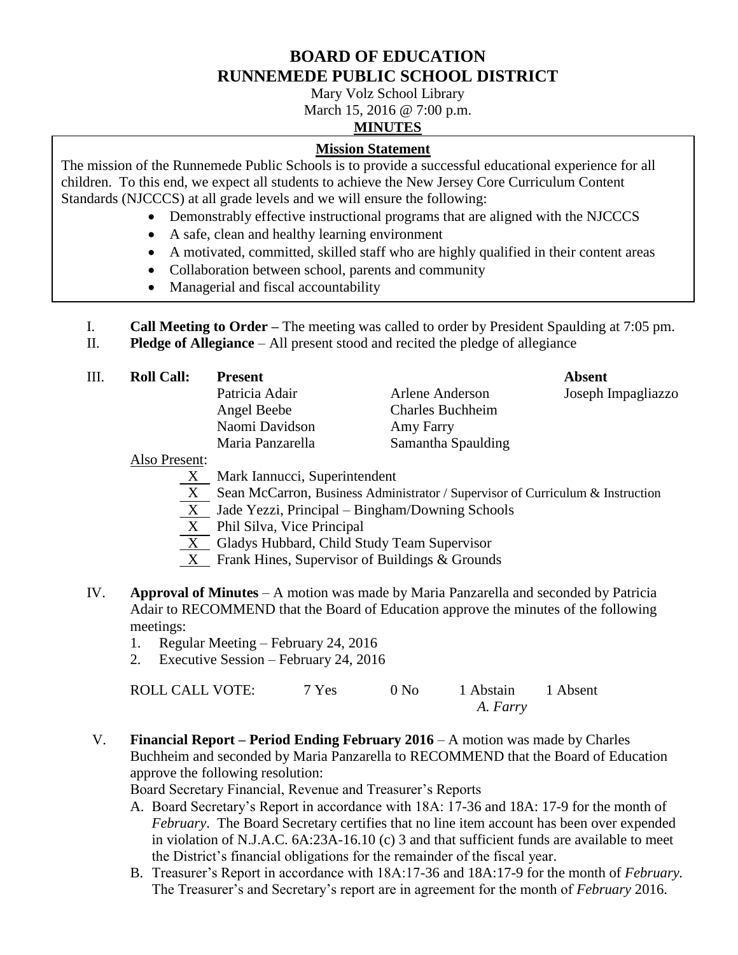# **BOARD OF EDUCATION RUNNEMEDE PUBLIC SCHOOL DISTRICT**

Mary Volz School Library

March 15, 2016 @ 7:00 p.m.

## **MINUTES**

### **Mission Statement**

The mission of the Runnemede Public Schools is to provide a successful educational experience for all children. To this end, we expect all students to achieve the New Jersey Core Curriculum Content Standards (NJCCCS) at all grade levels and we will ensure the following:

- Demonstrably effective instructional programs that are aligned with the NJCCCS
- A safe, clean and healthy learning environment
- A motivated, committed, skilled staff who are highly qualified in their content areas
- Collaboration between school, parents and community
- Managerial and fiscal accountability

I. **Call Meeting to Order –** The meeting was called to order by President Spaulding at 7:05 pm.

II. **Pledge of Allegiance** – All present stood and recited the pledge of allegiance

| III. | <b>Roll Call:</b> | <b>Present</b>   |                         | Absent             |
|------|-------------------|------------------|-------------------------|--------------------|
|      |                   | Patricia Adair   | Arlene Anderson         | Joseph Impagliazzo |
|      |                   | Angel Beebe      | <b>Charles Buchheim</b> |                    |
|      |                   | Naomi Davidson   | Amy Farry               |                    |
|      |                   | Maria Panzarella | Samantha Spaulding      |                    |
|      |                   |                  |                         |                    |

Also Present:

- X Mark Iannucci, Superintendent
- X Sean McCarron, Business Administrator / Supervisor of Curriculum & Instruction
- X Jade Yezzi, Principal Bingham/Downing Schools
- X Phil Silva, Vice Principal
- $\overline{X}$  Gladys Hubbard, Child Study Team Supervisor
- X Frank Hines, Supervisor of Buildings & Grounds
- IV. **Approval of Minutes**  A motion was made by Maria Panzarella and seconded by Patricia Adair to RECOMMEND that the Board of Education approve the minutes of the following meetings:
	- 1. Regular Meeting February 24, 2016
	- 2. Executive Session February 24, 2016

| ROLL CALL VOTE: | 7 Yes | 0 N <sub>0</sub> | 1 Abstain 1 Absent |  |
|-----------------|-------|------------------|--------------------|--|
|                 |       |                  | A. Farry           |  |

V. **Financial Report – Period Ending February 2016** – A motion was made by Charles Buchheim and seconded by Maria Panzarella to RECOMMEND that the Board of Education approve the following resolution:

Board Secretary Financial, Revenue and Treasurer's Reports

- A. Board Secretary's Report in accordance with 18A: 17-36 and 18A: 17-9 for the month of *February*. The Board Secretary certifies that no line item account has been over expended in violation of N.J.A.C. 6A:23A-16.10 (c) 3 and that sufficient funds are available to meet the District's financial obligations for the remainder of the fiscal year.
- B. Treasurer's Report in accordance with 18A:17-36 and 18A:17-9 for the month of *February.* The Treasurer's and Secretary's report are in agreement for the month of *February* 2016.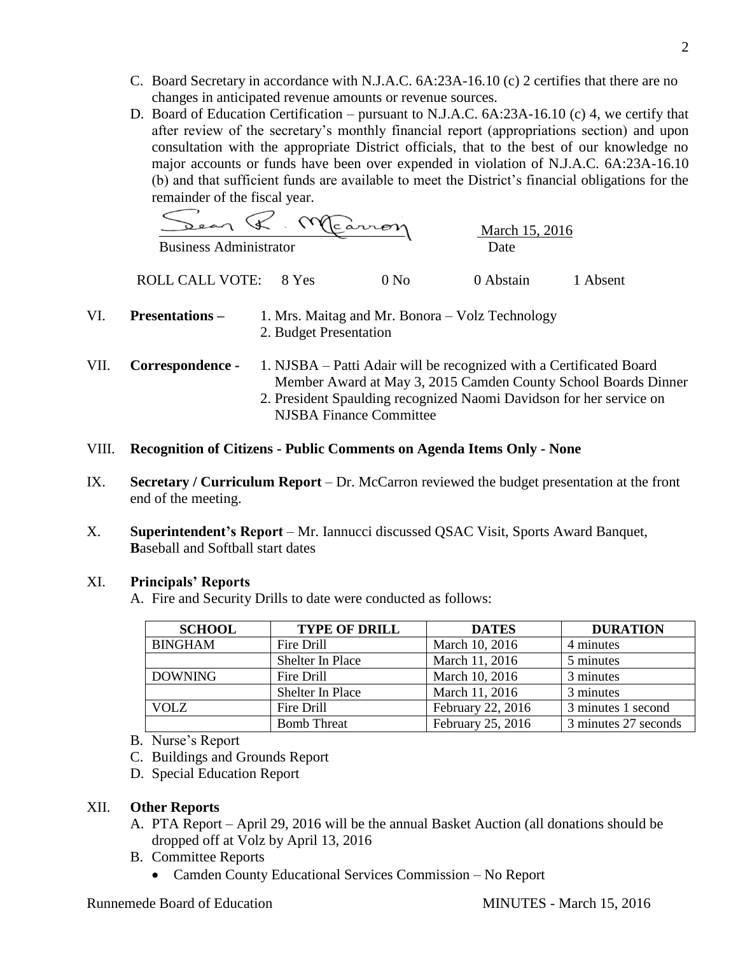- C. Board Secretary in accordance with N.J.A.C. 6A:23A-16.10 (c) 2 certifies that there are no changes in anticipated revenue amounts or revenue sources.
- D. Board of Education Certification pursuant to N.J.A.C. 6A:23A-16.10 (c) 4, we certify that after review of the secretary's monthly financial report (appropriations section) and upon consultation with the appropriate District officials, that to the best of our knowledge no major accounts or funds have been over expended in violation of N.J.A.C. 6A:23A-16.10 (b) and that sufficient funds are available to meet the District's financial obligations for the remainder of the fiscal year.

 \_\_\_\_\_\_\_\_\_\_\_\_\_\_\_\_\_\_\_\_\_\_\_\_\_\_\_\_\_\_\_\_\_\_ March 15, 2016 Business Administrator Date

ROLL CALL VOTE: 8 Yes 0 No 0 Abstain 1 Absent

- VI. **Presentations –** 1. Mrs. Maitag and Mr. Bonora Volz Technology 2. Budget Presentation
- VII. **Correspondence -** 1. NJSBA Patti Adair will be recognized with a Certificated Board Member Award at May 3, 2015 Camden County School Boards Dinner 2. President Spaulding recognized Naomi Davidson for her service on NJSBA Finance Committee
- VIII. **Recognition of Citizens - Public Comments on Agenda Items Only - None**
- IX. **Secretary / Curriculum Report** *–* Dr. McCarron reviewed the budget presentation at the front end of the meeting.
- X. **Superintendent's Report** Mr. Iannucci discussed QSAC Visit, Sports Award Banquet, **B**aseball and Softball start dates

#### XI. **Principals' Reports**

A. Fire and Security Drills to date were conducted as follows:

| <b>SCHOOL</b>  | <b>TYPE OF DRILL</b> | <b>DATES</b>      | <b>DURATION</b>      |
|----------------|----------------------|-------------------|----------------------|
| <b>BINGHAM</b> | Fire Drill           | March 10, 2016    | 4 minutes            |
|                | Shelter In Place     | March 11, 2016    | 5 minutes            |
| <b>DOWNING</b> | Fire Drill           | March 10, 2016    | 3 minutes            |
|                | Shelter In Place     | March 11, 2016    | 3 minutes            |
| <b>VOLZ</b>    | Fire Drill           | February 22, 2016 | 3 minutes 1 second   |
|                | <b>Bomb Threat</b>   | February 25, 2016 | 3 minutes 27 seconds |

- B. Nurse's Report
- C. Buildings and Grounds Report
- D. Special Education Report

### XII. **Other Reports**

- A. PTA Report April 29, 2016 will be the annual Basket Auction (all donations should be dropped off at Volz by April 13, 2016
- B. Committee Reports
	- Camden County Educational Services Commission No Report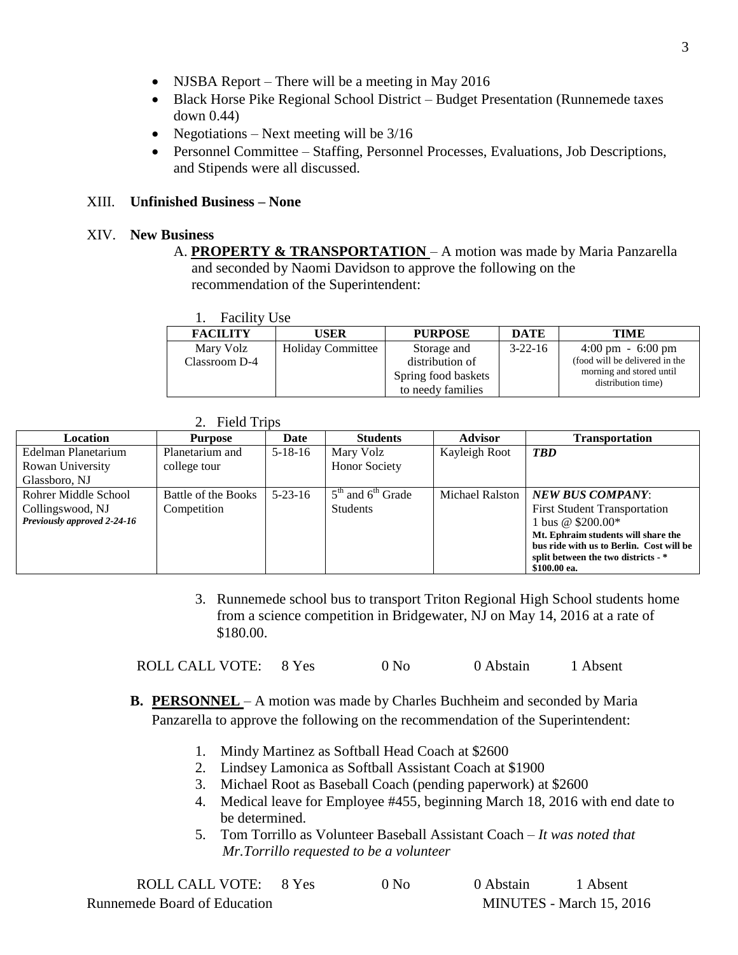- NJSBA Report There will be a meeting in May 2016
- Black Horse Pike Regional School District Budget Presentation (Runnemede taxes down 0.44)
- Negotiations Next meeting will be  $3/16$
- Personnel Committee Staffing, Personnel Processes, Evaluations, Job Descriptions, and Stipends were all discussed.

### XIII. **Unfinished Business – None**

### XIV. **New Business**

A. **PROPERTY & TRANSPORTATION** – A motion was made by Maria Panzarella and seconded by Naomi Davidson to approve the following on the recommendation of the Superintendent:

| <b>FACILITY</b> | <b>USER</b>              | <b>PURPOSE</b>      | <b>DATE</b>   | <b>TIME</b>                         |
|-----------------|--------------------------|---------------------|---------------|-------------------------------------|
| Mary Volz       | <b>Holiday Committee</b> | Storage and         | $3 - 22 - 16$ | $4:00 \text{ pm} - 6:00 \text{ pm}$ |
| Classroom D-4   |                          | distribution of     |               | (food will be delivered in the      |
|                 |                          | Spring food baskets |               | morning and stored until            |
|                 |                          | to needy families   |               | distribution time)                  |

|  | <b>Field Trips</b> |  |
|--|--------------------|--|
|--|--------------------|--|

| Location                    | Purpose             | Date          | <b>Students</b>       | <b>Advisor</b>  | <b>Transportation</b>                    |
|-----------------------------|---------------------|---------------|-----------------------|-----------------|------------------------------------------|
| Edelman Planetarium         | Planetarium and     | $5 - 18 - 16$ | Mary Volz             | Kayleigh Root   | <b>TBD</b>                               |
| Rowan University            | college tour        |               | <b>Honor Society</b>  |                 |                                          |
| Glassboro, NJ               |                     |               |                       |                 |                                          |
| Rohrer Middle School        | Battle of the Books | $5 - 23 - 16$ | $5th$ and $6th$ Grade | Michael Ralston | <b>NEW BUS COMPANY:</b>                  |
| Collingswood, NJ            | Competition         |               | <b>Students</b>       |                 | <b>First Student Transportation</b>      |
| Previously approved 2-24-16 |                     |               |                       |                 | l bus @ \$200.00*                        |
|                             |                     |               |                       |                 | Mt. Ephraim students will share the      |
|                             |                     |               |                       |                 | bus ride with us to Berlin. Cost will be |
|                             |                     |               |                       |                 | split between the two districts - *      |
|                             |                     |               |                       |                 | \$100.00 ea.                             |

3. Runnemede school bus to transport Triton Regional High School students home from a science competition in Bridgewater, NJ on May 14, 2016 at a rate of \$180.00.

ROLL CALL VOTE: 8 Yes 0 No 0 Abstain 1 Absent

- **B. PERSONNEL** A motion was made by Charles Buchheim and seconded by Maria Panzarella to approve the following on the recommendation of the Superintendent:
	- 1. Mindy Martinez as Softball Head Coach at \$2600
	- 2. Lindsey Lamonica as Softball Assistant Coach at \$1900
	- 3. Michael Root as Baseball Coach (pending paperwork) at \$2600
	- 4. Medical leave for Employee #455, beginning March 18, 2016 with end date to be determined.
	- 5. Tom Torrillo as Volunteer Baseball Assistant Coach *It was noted that Mr.Torrillo requested to be a volunteer*

| ROLL CALL VOTE: 8 Yes        | 0 N <sub>0</sub> | 0 Abstain | 1 Absent                 |
|------------------------------|------------------|-----------|--------------------------|
| Runnemede Board of Education |                  |           | MINUTES - March 15, 2016 |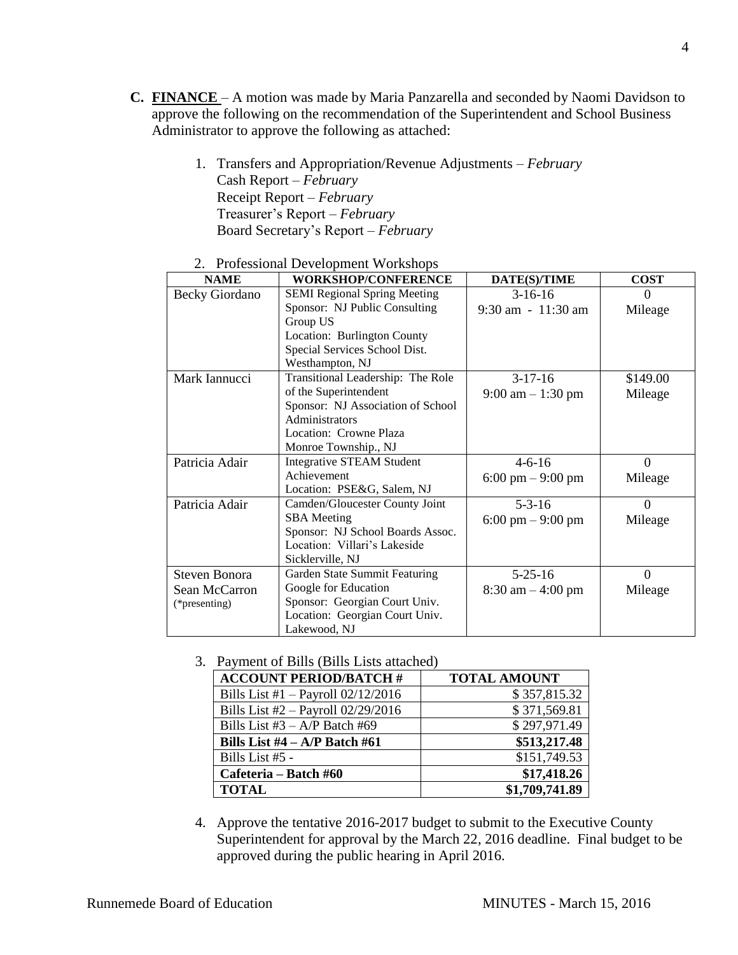- **C. FINANCE**  A motion was made by Maria Panzarella and seconded by Naomi Davidson to approve the following on the recommendation of the Superintendent and School Business Administrator to approve the following as attached:
	- 1. Transfers and Appropriation/Revenue Adjustments *February* Cash Report – *February* Receipt Report – *February* Treasurer's Report – *February* Board Secretary's Report – *February*

| <b>NAME</b>           | <b>WORKSHOP/CONFERENCE</b>          | DATE(S)/TIME                        | <b>COST</b> |
|-----------------------|-------------------------------------|-------------------------------------|-------------|
| <b>Becky Giordano</b> | <b>SEMI Regional Spring Meeting</b> | $3-16-16$                           | $\Omega$    |
|                       | Sponsor: NJ Public Consulting       | $9:30$ am $-11:30$ am               | Mileage     |
|                       | Group US                            |                                     |             |
|                       | Location: Burlington County         |                                     |             |
|                       | Special Services School Dist.       |                                     |             |
|                       | Westhampton, NJ                     |                                     |             |
| Mark Iannucci         | Transitional Leadership: The Role   | $3-17-16$                           | \$149.00    |
|                       | of the Superintendent               | $9:00 \text{ am} - 1:30 \text{ pm}$ | Mileage     |
|                       | Sponsor: NJ Association of School   |                                     |             |
|                       | Administrators                      |                                     |             |
|                       | Location: Crowne Plaza              |                                     |             |
|                       | Monroe Township., NJ                |                                     |             |
| Patricia Adair        | <b>Integrative STEAM Student</b>    | $4 - 6 - 16$                        | $\Omega$    |
|                       | Achievement                         | $6:00 \text{ pm} - 9:00 \text{ pm}$ | Mileage     |
|                       | Location: PSE&G, Salem, NJ          |                                     |             |
| Patricia Adair        | Camden/Gloucester County Joint      | $5 - 3 - 16$                        | $\Omega$    |
|                       | <b>SBA</b> Meeting                  | $6:00 \text{ pm} - 9:00 \text{ pm}$ | Mileage     |
|                       | Sponsor: NJ School Boards Assoc.    |                                     |             |
|                       | Location: Villari's Lakeside        |                                     |             |
|                       | Sicklerville, NJ                    |                                     |             |
| <b>Steven Bonora</b>  | Garden State Summit Featuring       | $5 - 25 - 16$                       | $\Omega$    |
| Sean McCarron         | Google for Education                | $8:30 \text{ am} - 4:00 \text{ pm}$ | Mileage     |
| (*presenting)         | Sponsor: Georgian Court Univ.       |                                     |             |
|                       | Location: Georgian Court Univ.      |                                     |             |
|                       | Lakewood, NJ                        |                                     |             |

2. Professional Development Workshops

3. Payment of Bills (Bills Lists attached)

| <b>ACCOUNT PERIOD/BATCH #</b>        | <b>TOTAL AMOUNT</b> |
|--------------------------------------|---------------------|
| Bills List #1 - Payroll $02/12/2016$ | \$357,815.32        |
| Bills List #2 - Payroll 02/29/2016   | \$371,569.81        |
| Bills List $#3 - A/P$ Batch $#69$    | \$297,971.49        |
| Bills List $#4 - A/P$ Batch $#61$    | \$513,217.48        |
| Bills List #5 -                      | \$151,749.53        |
| Cafeteria – Batch #60                | \$17,418.26         |
| <b>TOTAL</b>                         | \$1,709,741.89      |

4. Approve the tentative 2016-2017 budget to submit to the Executive County Superintendent for approval by the March 22, 2016 deadline. Final budget to be approved during the public hearing in April 2016.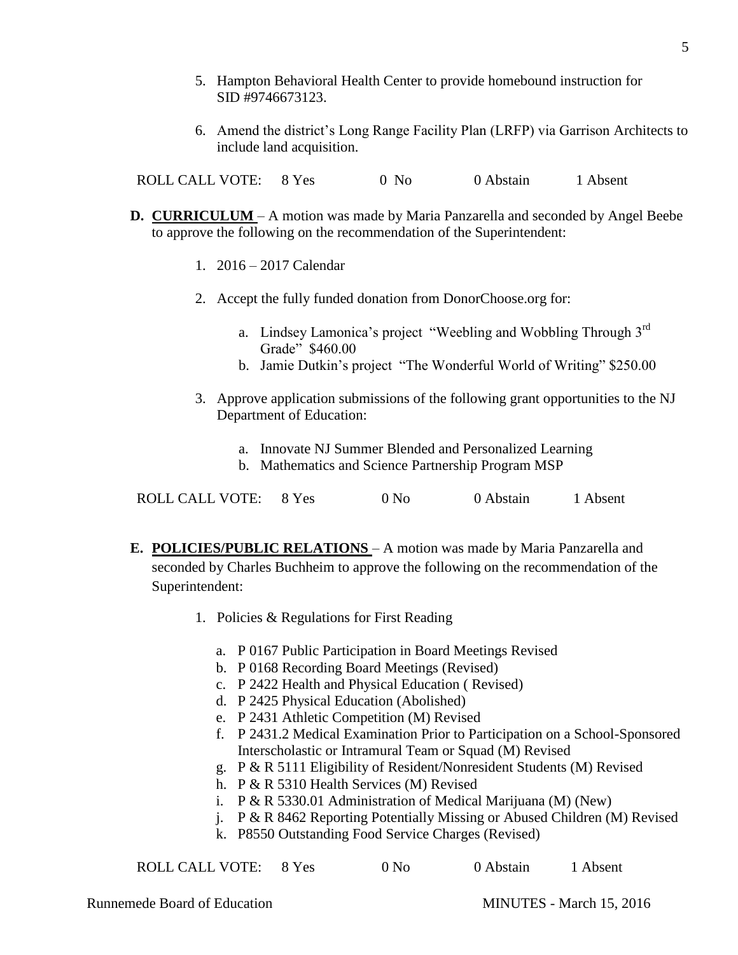- 5. Hampton Behavioral Health Center to provide homebound instruction for SID #9746673123.
- 6. Amend the district's Long Range Facility Plan (LRFP) via Garrison Architects to include land acquisition.

ROLL CALL VOTE: 8 Yes 0 No 0 Abstain 1 Absent

- **D. CURRICULUM**  A motion was made by Maria Panzarella and seconded by Angel Beebe to approve the following on the recommendation of the Superintendent:
	- 1. 2016 2017 Calendar
	- 2. Accept the fully funded donation from DonorChoose.org for:
		- a. Lindsey Lamonica's project "Weebling and Wobbling Through 3<sup>rd</sup> Grade" \$460.00
		- b. Jamie Dutkin's project "The Wonderful World of Writing" \$250.00
	- 3. Approve application submissions of the following grant opportunities to the NJ Department of Education:
		- a. Innovate NJ Summer Blended and Personalized Learning
		- b. Mathematics and Science Partnership Program MSP

| ROLL CALL VOTE: |  | 0 N <sub>0</sub> | 0 Abstain | 1 Absent |
|-----------------|--|------------------|-----------|----------|
|-----------------|--|------------------|-----------|----------|

- **E. POLICIES/PUBLIC RELATIONS**  A motion was made by Maria Panzarella and seconded by Charles Buchheim to approve the following on the recommendation of the Superintendent:
	- 1. Policies & Regulations for First Reading
		- a. P 0167 Public Participation in Board Meetings Revised
		- b. P 0168 Recording Board Meetings (Revised)
		- c. P 2422 Health and Physical Education ( Revised)
		- d. P 2425 Physical Education (Abolished)
		- e. P 2431 Athletic Competition (M) Revised
		- f. P 2431.2 Medical Examination Prior to Participation on a School-Sponsored Interscholastic or Intramural Team or Squad (M) Revised
		- g. P & R 5111 Eligibility of Resident/Nonresident Students (M) Revised
		- h. P & R 5310 Health Services (M) Revised
		- i. P & R 5330.01 Administration of Medical Marijuana (M) (New)
		- j. P & R 8462 Reporting Potentially Missing or Abused Children (M) Revised
		- k. P8550 Outstanding Food Service Charges (Revised)

ROLL CALL VOTE: 8 Yes 0 No 0 Abstain 1 Absent